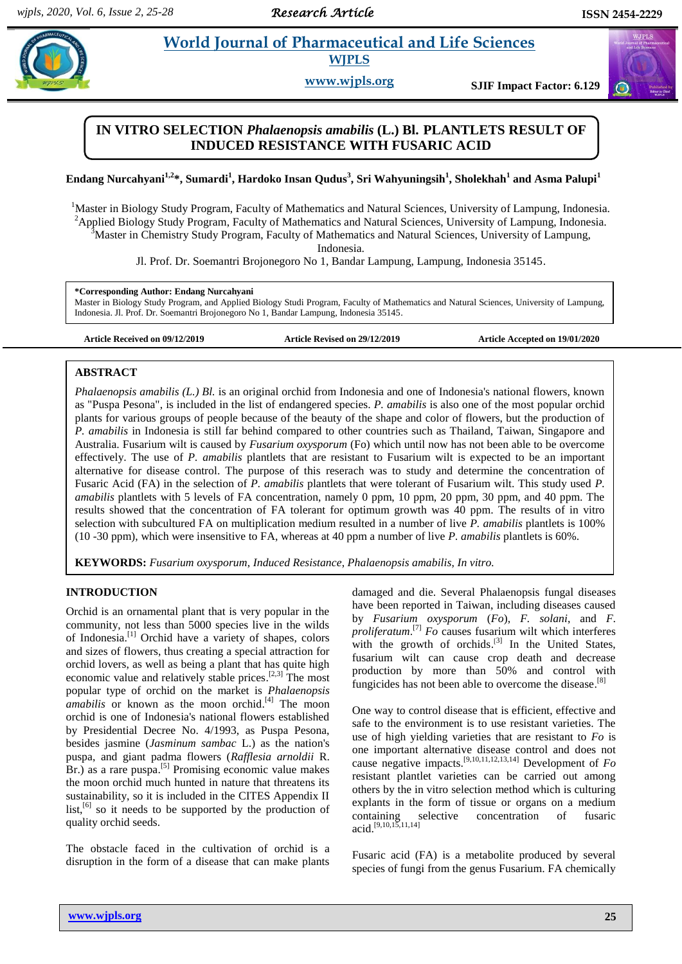# **Akhila** *et al. a**et al. al. al. <b>et al. 2 et al. 2 et al. 2 et al. 2 et al. 2 et al. 22 are al. 22 are al. 22 are al. 22 are al. 22 are al. 22 are al. 22 are al. 22 are al. 22 are al. 22 are al. 22 are al. 22* **WJPLS**

**www.wjpls.org SJIF Impact Factor: 6.129**

# **IN VITRO SELECTION** *Phalaenopsis amabilis* **(L.) Bl. PLANTLETS RESULT OF INDUCED RESISTANCE WITH FUSARIC ACID**

**Endang Nurcahyani1,2\*, Sumardi<sup>1</sup> , Hardoko Insan Qudus<sup>3</sup> , Sri Wahyuningsih<sup>1</sup> , Sholekhah<sup>1</sup> and Asma Palupi<sup>1</sup>**

<sup>1</sup>Master in Biology Study Program, Faculty of Mathematics and Natural Sciences, University of Lampung, Indonesia. <sup>2</sup>Applied Biology Study Program, Faculty of Mathematics and Natural Sciences, University of Lampung, Indonesia. <sup>3</sup>Master in Chemistry Study Program, Faculty of Mathematics and Natural Sciences, University of Lampung,

Indonesia.

Jl. Prof. Dr. Soemantri Brojonegoro No 1, Bandar Lampung, Lampung, Indonesia 35145.

**\*Corresponding Author: Endang Nurcahyani**

Master in Biology Study Program, and Applied Biology Studi Program, Faculty of Mathematics and Natural Sciences, University of Lampung, Indonesia. Jl. Prof. Dr. Soemantri Brojonegoro No 1, Bandar Lampung, Indonesia 35145.

**Article Received on 09/12/2019 Article Revised on 29/12/2019 Article Accepted on 19/01/2020**

# **ABSTRACT**

*Phalaenopsis amabilis (L.) Bl.* is an original orchid from Indonesia and one of Indonesia's national flowers, known as "Puspa Pesona", is included in the list of endangered species. *P. amabilis* is also one of the most popular orchid plants for various groups of people because of the beauty of the shape and color of flowers, but the production of *P. amabilis* in Indonesia is still far behind compared to other countries such as Thailand, Taiwan, Singapore and Australia. Fusarium wilt is caused by *Fusarium oxysporum* (Fo) which until now has not been able to be overcome effectively. The use of *P. amabilis* plantlets that are resistant to Fusarium wilt is expected to be an important alternative for disease control. The purpose of this reserach was to study and determine the concentration of Fusaric Acid (FA) in the selection of *P. amabilis* plantlets that were tolerant of Fusarium wilt. This study used *P. amabilis* plantlets with 5 levels of FA concentration, namely 0 ppm, 10 ppm, 20 ppm, 30 ppm, and 40 ppm. The results showed that the concentration of FA tolerant for optimum growth was 40 ppm. The results of in vitro selection with subcultured FA on multiplication medium resulted in a number of live *P. amabilis* plantlets is 100% (10 -30 ppm), which were insensitive to FA, whereas at 40 ppm a number of live *P. amabilis* plantlets is 60%.

**KEYWORDS:** *Fusarium oxysporum*, *Induced Resistance*, *Phalaenopsis amabilis*, *In vitro.*

# **INTRODUCTION**

Orchid is an ornamental plant that is very popular in the community, not less than 5000 species live in the wilds of Indonesia.<sup>[1]</sup> Orchid have a variety of shapes, colors and sizes of flowers, thus creating a special attraction for orchid lovers, as well as being a plant that has quite high economic value and relatively stable prices.<sup>[2,3]</sup> The most popular type of orchid on the market is *Phalaenopsis amabilis* or known as the moon orchid.<sup>[4]</sup> The moon orchid is one of Indonesia's national flowers established by Presidential Decree No. 4/1993, as Puspa Pesona, besides jasmine (*Jasminum sambac* L.) as the nation's puspa, and giant padma flowers (*Rafflesia arnoldii* R.  $Br.$ ) as a rare puspa.<sup>[5]</sup> Promising economic value makes the moon orchid much hunted in nature that threatens its sustainability, so it is included in the CITES Appendix II list,<sup>[6]</sup> so it needs to be supported by the production of quality orchid seeds.

The obstacle faced in the cultivation of orchid is a disruption in the form of a disease that can make plants

damaged and die. Several Phalaenopsis fungal diseases have been reported in Taiwan, including diseases caused by *Fusarium oxysporum* (*Fo*), *F. solani*, and *F. proliferatum*. [7] *Fo* causes fusarium wilt which interferes with the growth of orchids. $[3]$  In the United States, fusarium wilt can cause crop death and decrease production by more than 50% and control with fungicides has not been able to overcome the disease.<sup>[8]</sup>

One way to control disease that is efficient, effective and safe to the environment is to use resistant varieties. The use of high yielding varieties that are resistant to *Fo* is one important alternative disease control and does not cause negative impacts.[9,10,11,12,13,14] Development of *Fo* resistant plantlet varieties can be carried out among others by the in vitro selection method which is culturing explants in the form of tissue or organs on a medium containing selective concentration of fusaric acid. [9,10,15,11,14]

Fusaric acid (FA) is a metabolite produced by several species of fungi from the genus Fusarium. FA chemically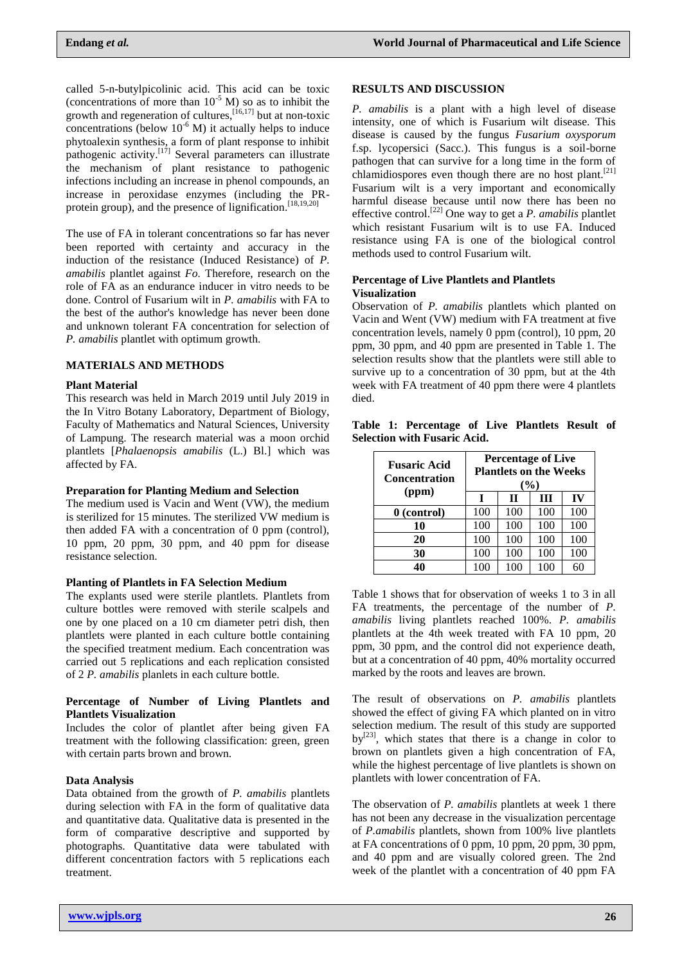called 5-n-butylpicolinic acid. This acid can be toxic (concentrations of more than  $10^{-5}$  M) so as to inhibit the growth and regeneration of cultures, [16,17] but at non-toxic concentrations (below  $10^{-6}$  M) it actually helps to induce phytoalexin synthesis, a form of plant response to inhibit pathogenic activity.<sup>[17]</sup> Several parameters can illustrate the mechanism of plant resistance to pathogenic infections including an increase in phenol compounds, an increase in peroxidase enzymes (including the PRprotein group), and the presence of lignification.<sup>[18,19,20]</sup>

The use of FA in tolerant concentrations so far has never been reported with certainty and accuracy in the induction of the resistance (Induced Resistance) of *P. amabilis* plantlet against *Fo.* Therefore, research on the role of FA as an endurance inducer in vitro needs to be done. Control of Fusarium wilt in *P. amabilis* with FA to the best of the author's knowledge has never been done and unknown tolerant FA concentration for selection of *P. amabilis* plantlet with optimum growth.

# **MATERIALS AND METHODS**

#### **Plant Material**

This research was held in March 2019 until July 2019 in the In Vitro Botany Laboratory, Department of Biology, Faculty of Mathematics and Natural Sciences, University of Lampung. The research material was a moon orchid plantlets [*Phalaenopsis amabilis* (L.) Bl.] which was affected by FA.

#### **Preparation for Planting Medium and Selection**

The medium used is Vacin and Went (VW), the medium is sterilized for 15 minutes. The sterilized VW medium is then added FA with a concentration of 0 ppm (control), 10 ppm, 20 ppm, 30 ppm, and 40 ppm for disease resistance selection.

### **Planting of Plantlets in FA Selection Medium**

The explants used were sterile plantlets. Plantlets from culture bottles were removed with sterile scalpels and one by one placed on a 10 cm diameter petri dish, then plantlets were planted in each culture bottle containing the specified treatment medium. Each concentration was carried out 5 replications and each replication consisted of 2 *P. amabilis* planlets in each culture bottle.

#### **Percentage of Number of Living Plantlets and Plantlets Visualization**

Includes the color of plantlet after being given FA treatment with the following classification: green, green with certain parts brown and brown.

#### **Data Analysis**

Data obtained from the growth of *P. amabilis* plantlets during selection with FA in the form of qualitative data and quantitative data. Qualitative data is presented in the form of comparative descriptive and supported by photographs. Quantitative data were tabulated with different concentration factors with 5 replications each treatment.

*P. amabilis* is a plant with a high level of disease intensity, one of which is Fusarium wilt disease. This disease is caused by the fungus *Fusarium oxysporum* f.sp. lycopersici (Sacc.). This fungus is a soil-borne pathogen that can survive for a long time in the form of chlamidiospores even though there are no host plant. $[21]$ Fusarium wilt is a very important and economically harmful disease because until now there has been no effective control. [22] One way to get a *P. amabilis* plantlet which resistant Fusarium wilt is to use FA. Induced resistance using FA is one of the biological control methods used to control Fusarium wilt.

### **Percentage of Live Plantlets and Plantlets Visualization**

Observation of *P. amabilis* plantlets which planted on Vacin and Went (VW) medium with FA treatment at five concentration levels, namely 0 ppm (control), 10 ppm, 20 ppm, 30 ppm, and 40 ppm are presented in Table 1. The selection results show that the plantlets were still able to survive up to a concentration of 30 ppm, but at the 4th week with FA treatment of 40 ppm there were 4 plantlets died.

**Table 1: Percentage of Live Plantlets Result of Selection with Fusaric Acid.**

| <b>Fusaric Acid</b><br><b>Concentration</b><br>(ppm) | <b>Percentage of Live</b><br><b>Plantlets on the Weeks</b><br>$($ %) |             |     |     |  |
|------------------------------------------------------|----------------------------------------------------------------------|-------------|-----|-----|--|
|                                                      | T                                                                    | $\mathbf H$ | Ш   | IV  |  |
| 0 (control)                                          | 100                                                                  | 100         | 100 | 100 |  |
| 10                                                   | 100                                                                  | 100         | 100 | 100 |  |
| 20                                                   | 100                                                                  | 100         | 100 | 100 |  |
| 30                                                   | 100                                                                  | 100         | 100 | 100 |  |
|                                                      | 100                                                                  | 100         | 100 |     |  |

Table 1 shows that for observation of weeks 1 to 3 in all FA treatments, the percentage of the number of *P. amabilis* living plantlets reached 100%. *P. amabilis* plantlets at the 4th week treated with FA 10 ppm, 20 ppm, 30 ppm, and the control did not experience death, but at a concentration of 40 ppm, 40% mortality occurred marked by the roots and leaves are brown.

The result of observations on *P. amabilis* plantlets showed the effect of giving FA which planted on in vitro selection medium. The result of this study are supported by<sup>[23]</sup>, which states that there is a change in color to brown on plantlets given a high concentration of FA, while the highest percentage of live plantlets is shown on plantlets with lower concentration of FA.

The observation of *P. amabilis* plantlets at week 1 there has not been any decrease in the visualization percentage of *P.amabilis* plantlets, shown from 100% live plantlets at FA concentrations of 0 ppm, 10 ppm, 20 ppm, 30 ppm, and 40 ppm and are visually colored green. The 2nd week of the plantlet with a concentration of 40 ppm FA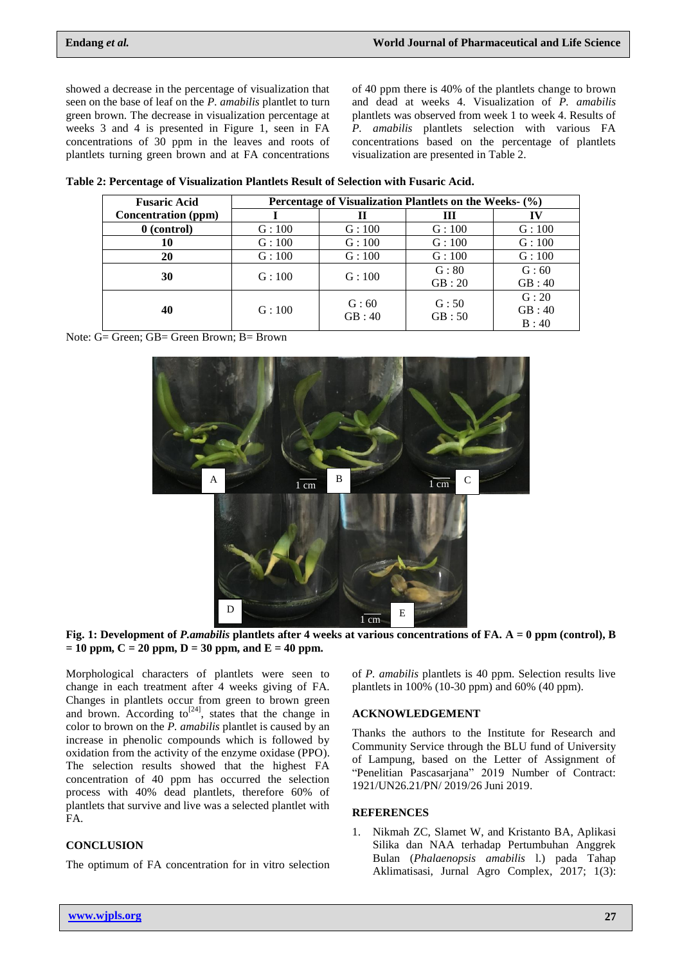showed a decrease in the percentage of visualization that seen on the base of leaf on the *P. amabilis* plantlet to turn green brown. The decrease in visualization percentage at weeks 3 and 4 is presented in Figure 1, seen in FA concentrations of 30 ppm in the leaves and roots of plantlets turning green brown and at FA concentrations

of 40 ppm there is 40% of the plantlets change to brown and dead at weeks 4. Visualization of *P. amabilis* plantlets was observed from week 1 to week 4. Results of *P. amabilis* plantlets selection with various FA concentrations based on the percentage of plantlets visualization are presented in Table 2.

**Table 2: Percentage of Visualization Plantlets Result of Selection with Fusaric Acid.**

| <b>Fusaric Acid</b>        | Percentage of Visualization Plantlets on the Weeks- (%) |               |               |                |  |  |
|----------------------------|---------------------------------------------------------|---------------|---------------|----------------|--|--|
| <b>Concentration (ppm)</b> |                                                         | Н             | ш             | IV             |  |  |
| $0$ (control)              | G:100                                                   | G:100         | G:100         | G:100          |  |  |
| 10                         | G:100                                                   | G:100         | G:100         | G:100          |  |  |
| 20                         | G:100                                                   | G:100         | G:100         | G:100          |  |  |
| 30                         | G:100                                                   | G:100         | G: 80         | G:60           |  |  |
|                            |                                                         |               | GB:20         | GB:40          |  |  |
| 40                         | G:100                                                   | G:60<br>GB:40 | G:50<br>GB:50 | G: 20<br>GB:40 |  |  |
|                            |                                                         |               |               | B:40           |  |  |

Note: G= Green; GB= Green Brown; B= Brown



**Fig. 1: Development of** *P.amabilis* **plantlets after 4 weeks at various concentrations of FA. A = 0 ppm (control), B**   $= 10$  ppm,  $C = 20$  ppm,  $D = 30$  ppm, and  $E = 40$  ppm.

Morphological characters of plantlets were seen to change in each treatment after 4 weeks giving of FA. Changes in plantlets occur from green to brown green and brown. According  $to^{[24]}$ , states that the change in color to brown on the *P. amabilis* plantlet is caused by an increase in phenolic compounds which is followed by oxidation from the activity of the enzyme oxidase (PPO). The selection results showed that the highest FA concentration of 40 ppm has occurred the selection process with 40% dead plantlets, therefore 60% of plantlets that survive and live was a selected plantlet with FA.

# **CONCLUSION**

The optimum of FA concentration for in vitro selection

of *P. amabilis* plantlets is 40 ppm. Selection results live plantlets in 100% (10-30 ppm) and 60% (40 ppm).

# **ACKNOWLEDGEMENT**

Thanks the authors to the Institute for Research and Community Service through the BLU fund of University of Lampung, based on the Letter of Assignment of "Penelitian Pascasarjana" 2019 Number of Contract: 1921/UN26.21/PN/ 2019/26 Juni 2019.

# **REFERENCES**

1. Nikmah ZC, Slamet W, and Kristanto BA, Aplikasi Silika dan NAA terhadap Pertumbuhan Anggrek Bulan (*Phalaenopsis amabilis* l.) pada Tahap Aklimatisasi, Jurnal Agro Complex, 2017; 1(3):